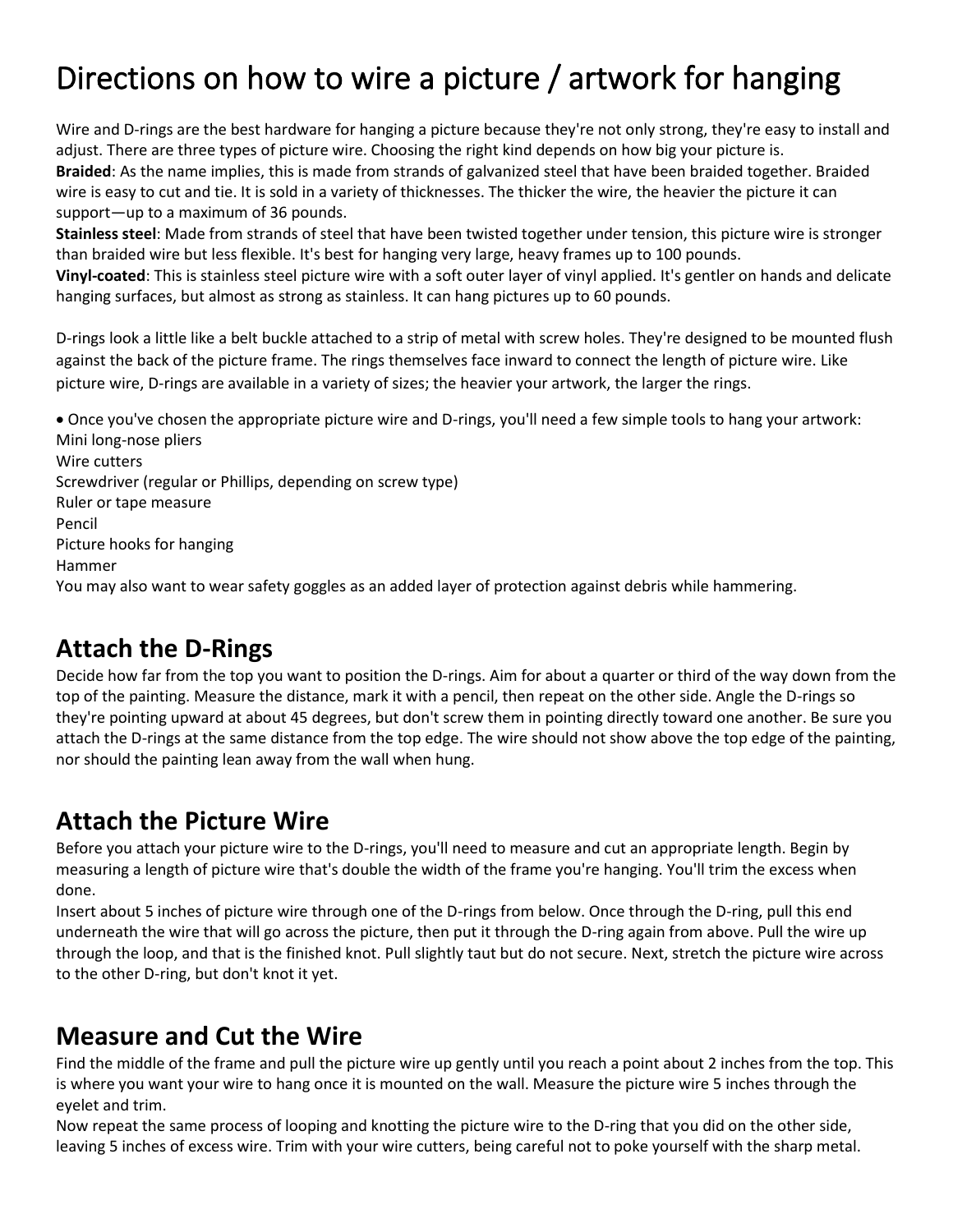# Directions on how to wire a picture / artwork for hanging

Wire and D-rings are the best hardware for hanging a picture because they're not only strong, they're easy to install and adjust. There are three types of picture wire. Choosing the right kind depends on how big your picture is. **Braided**: As the name implies, this is made from strands of galvanized steel that have been braided together. Braided wire is easy to cut and tie. It is sold in a variety of thicknesses. The thicker the wire, the heavier the picture it can support—up to a maximum of 36 pounds.

**[Stainless steel](https://www.thoughtco.com/why-stainless-steel-is-stainless-602296)**: Made from strands of steel that have been twisted together under tension, this picture wire is stronger than braided wire but less flexible. It's best for hanging very large, heavy frames up to 100 pounds.

**Vinyl-coated**: This is stainless steel picture wire with a soft outer layer of vinyl applied. It's gentler on hands and delicate hanging surfaces, but almost as strong as stainless. It can hang pictures up to 60 pounds.

D-rings look a little like a belt buckle attached to a strip of metal with screw holes. They're designed to be mounted flush against the back of the picture frame. The rings themselves face inward to connect the length of picture wire. Like picture wire, D-rings are available in a variety of sizes; the heavier your artwork, the larger the rings.

• Once you've chosen the appropriate picture wire and D-rings, you'll need a few simple tools to hang your artwork: Mini long-nose pliers Wire cutters [Screwdriver](https://www.liveabout.com/know-your-tools-flat-head-screwdriver-281839) (regular or Phillips, depending on screw type) Ruler or tape measure Pencil Picture hooks for hanging Hammer You may also want to wear safety goggles as an added layer of protection against debris while hammering.

#### **Attach the D-Rings**

Decide how far from the top you want to position the D-rings. Aim for about a quarter or third of the way down from the top of the painting. Measure the distance, mark it with a pencil, then repeat on the other side. Angle the D-rings so they're pointing upward at about 45 degrees, but don't screw them in pointing directly toward one another. Be sure you attach the D-rings at the same distance from the top edge. The wire should not show above the top edge of the painting, nor shoul[d the painting](https://www.thesprucecrafts.com/your-first-painting-4159810) lean away from the wall when hung.

#### **Attach the Picture Wire**

Before you attach your picture wire to the D-rings, you'll need to measure and cut an appropriate length. Begin by measuring a length of picture wire that's double the width of the frame you're hanging. You'll trim the excess when done.

Insert about 5 inches of picture wire through one of the D-rings from below. Once through the D-ring, pull this end underneath the wire that will go across the picture, then put it through the D-ring again from above. Pull the wire up through the loop, and that is the finished knot. Pull slightly taut but do not secure. Next, stretch the picture wire across to the other D-ring, but don't [knot](https://www.thesprucecrafts.com/adjustable-bracelet-knot-192841) it yet.

#### **Measure and Cut the Wire**

Find the middle of the frame and pull the picture wire up gently until you reach a point about 2 inches from the top. This is where you want your wire to hang once it is mounted on the wall. Measure the picture wire 5 inches through the eyelet and trim.

Now repeat the same process of looping and knotting the picture wire to the D-ring that you did on the other side, leaving 5 inches of excess wire. Trim with your wire cutters, being careful not to poke yourself with the sharp metal.